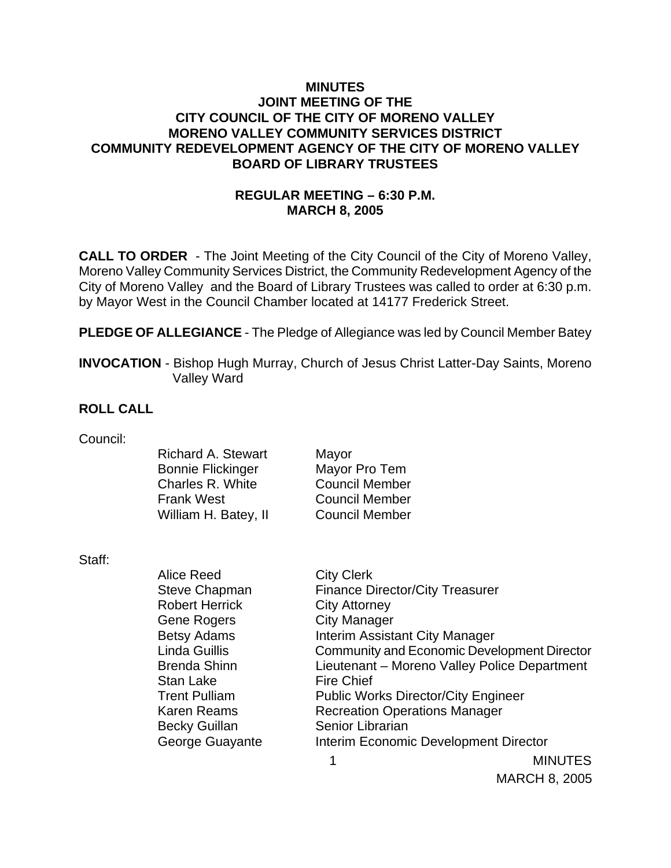### **MINUTES JOINT MEETING OF THE CITY COUNCIL OF THE CITY OF MORENO VALLEY MORENO VALLEY COMMUNITY SERVICES DISTRICT COMMUNITY REDEVELOPMENT AGENCY OF THE CITY OF MORENO VALLEY BOARD OF LIBRARY TRUSTEES**

# **REGULAR MEETING – 6:30 P.M. MARCH 8, 2005**

**CALL TO ORDER** - The Joint Meeting of the City Council of the City of Moreno Valley, Moreno Valley Community Services District, the Community Redevelopment Agency of the City of Moreno Valley and the Board of Library Trustees was called to order at 6:30 p.m. by Mayor West in the Council Chamber located at 14177 Frederick Street.

**PLEDGE OF ALLEGIANCE** - The Pledge of Allegiance was led by Council Member Batey

**INVOCATION** - Bishop Hugh Murray, Church of Jesus Christ Latter-Day Saints, Moreno Valley Ward

#### **ROLL CALL**

Council:

| <b>Richard A. Stewart</b> | Mayor                 |
|---------------------------|-----------------------|
| <b>Bonnie Flickinger</b>  | Mayor Pro Tem         |
| Charles R. White          | <b>Council Member</b> |
| <b>Frank West</b>         | <b>Council Member</b> |
| William H. Batey, II      | <b>Council Member</b> |
|                           |                       |

Staff:

| olall. |                       |                                              |                                       |  |
|--------|-----------------------|----------------------------------------------|---------------------------------------|--|
|        | Alice Reed            | <b>City Clerk</b>                            |                                       |  |
|        | <b>Steve Chapman</b>  | <b>Finance Director/City Treasurer</b>       |                                       |  |
|        | <b>Robert Herrick</b> | <b>City Attorney</b>                         |                                       |  |
|        | Gene Rogers           | <b>City Manager</b>                          |                                       |  |
|        | <b>Betsy Adams</b>    | Interim Assistant City Manager               |                                       |  |
|        | Linda Guillis         | Community and Economic Development Director  |                                       |  |
|        | <b>Brenda Shinn</b>   | Lieutenant - Moreno Valley Police Department |                                       |  |
|        | <b>Stan Lake</b>      | <b>Fire Chief</b>                            |                                       |  |
|        | <b>Trent Pulliam</b>  | <b>Public Works Director/City Engineer</b>   |                                       |  |
|        | <b>Karen Reams</b>    | <b>Recreation Operations Manager</b>         |                                       |  |
|        | <b>Becky Guillan</b>  | Senior Librarian                             |                                       |  |
|        | George Guayante       |                                              | Interim Economic Development Director |  |
|        |                       |                                              | <b>MINUTES</b>                        |  |
|        |                       |                                              |                                       |  |

MARCH 8, 2005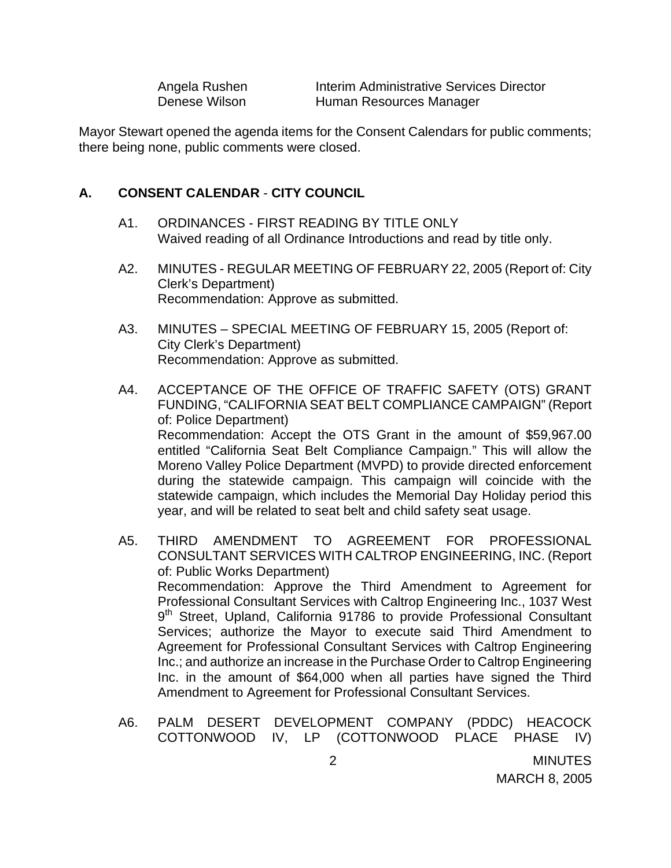Angela Rushen **Interim Administrative Services Director** Denese Wilson **Human Resources Manager** 

Mayor Stewart opened the agenda items for the Consent Calendars for public comments; there being none, public comments were closed.

#### **A. CONSENT CALENDAR** - **CITY COUNCIL**

- A1. ORDINANCES FIRST READING BY TITLE ONLY Waived reading of all Ordinance Introductions and read by title only.
- A2. MINUTES REGULAR MEETING OF FEBRUARY 22, 2005 (Report of: City Clerk's Department) Recommendation: Approve as submitted.
- A3. MINUTES SPECIAL MEETING OF FEBRUARY 15, 2005 (Report of: City Clerk's Department) Recommendation: Approve as submitted.
- A4. ACCEPTANCE OF THE OFFICE OF TRAFFIC SAFETY (OTS) GRANT FUNDING, "CALIFORNIA SEAT BELT COMPLIANCE CAMPAIGN" (Report of: Police Department) Recommendation: Accept the OTS Grant in the amount of \$59,967.00 entitled "California Seat Belt Compliance Campaign." This will allow the Moreno Valley Police Department (MVPD) to provide directed enforcement during the statewide campaign. This campaign will coincide with the statewide campaign, which includes the Memorial Day Holiday period this year, and will be related to seat belt and child safety seat usage.
- A5. THIRD AMENDMENT TO AGREEMENT FOR PROFESSIONAL CONSULTANT SERVICES WITH CALTROP ENGINEERING, INC. (Report of: Public Works Department) Recommendation: Approve the Third Amendment to Agreement for Professional Consultant Services with Caltrop Engineering Inc., 1037 West 9<sup>th</sup> Street, Upland, California 91786 to provide Professional Consultant Services; authorize the Mayor to execute said Third Amendment to Agreement for Professional Consultant Services with Caltrop Engineering Inc.; and authorize an increase in the Purchase Order to Caltrop Engineering Inc. in the amount of \$64,000 when all parties have signed the Third Amendment to Agreement for Professional Consultant Services.
- A6. PALM DESERT DEVELOPMENT COMPANY (PDDC) HEACOCK COTTONWOOD IV, LP (COTTONWOOD PLACE PHASE IV)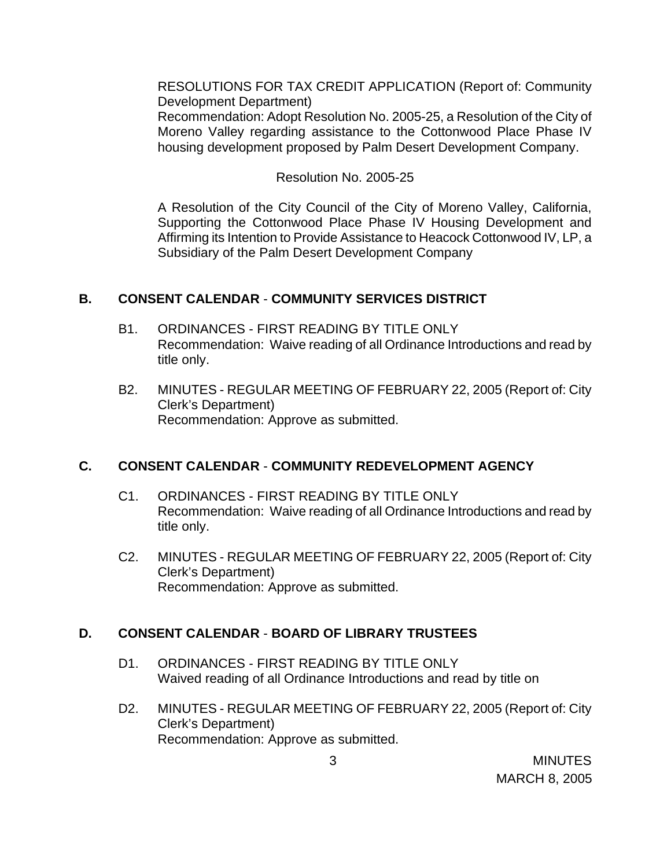RESOLUTIONS FOR TAX CREDIT APPLICATION (Report of: Community Development Department)

Recommendation: Adopt Resolution No. 2005-25, a Resolution of the City of Moreno Valley regarding assistance to the Cottonwood Place Phase IV housing development proposed by Palm Desert Development Company.

#### Resolution No. 2005-25

A Resolution of the City Council of the City of Moreno Valley, California, Supporting the Cottonwood Place Phase IV Housing Development and Affirming its Intention to Provide Assistance to Heacock Cottonwood IV, LP, a Subsidiary of the Palm Desert Development Company

### **B. CONSENT CALENDAR** - **COMMUNITY SERVICES DISTRICT**

- B1. ORDINANCES FIRST READING BY TITLE ONLY Recommendation: Waive reading of all Ordinance Introductions and read by title only.
- B2. MINUTES REGULAR MEETING OF FEBRUARY 22, 2005 (Report of: City Clerk's Department) Recommendation: Approve as submitted.

# **C. CONSENT CALENDAR** - **COMMUNITY REDEVELOPMENT AGENCY**

- C1. ORDINANCES FIRST READING BY TITLE ONLY Recommendation: Waive reading of all Ordinance Introductions and read by title only.
- C2. MINUTES REGULAR MEETING OF FEBRUARY 22, 2005 (Report of: City Clerk's Department) Recommendation: Approve as submitted.

# **D. CONSENT CALENDAR** - **BOARD OF LIBRARY TRUSTEES**

- D1. ORDINANCES FIRST READING BY TITLE ONLY Waived reading of all Ordinance Introductions and read by title on
- D2. MINUTES REGULAR MEETING OF FEBRUARY 22, 2005 (Report of: City Clerk's Department) Recommendation: Approve as submitted.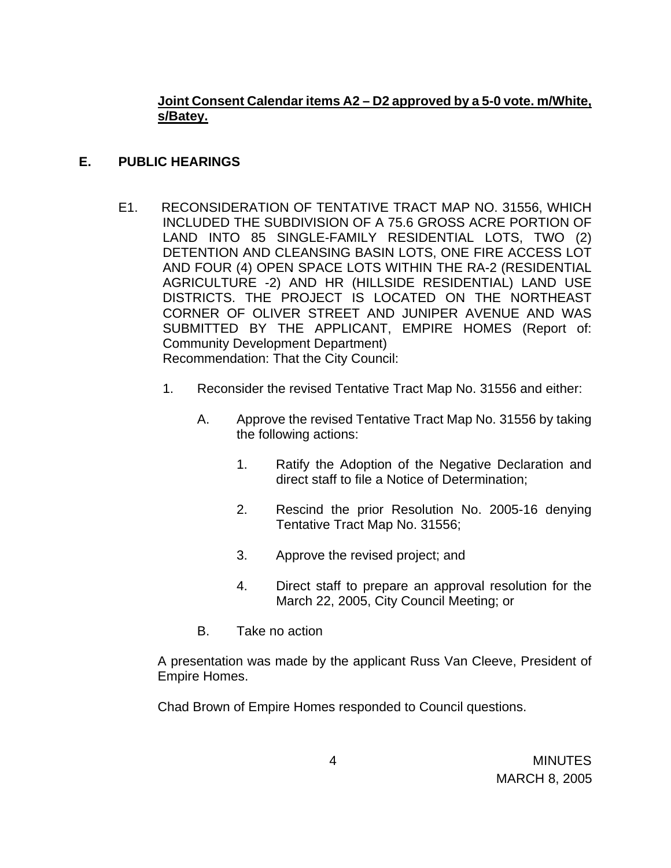# **Joint Consent Calendar items A2 – D2 approved by a 5-0 vote. m/White, s/Batey.**

## **E. PUBLIC HEARINGS**

- E1. RECONSIDERATION OF TENTATIVE TRACT MAP NO. 31556, WHICH INCLUDED THE SUBDIVISION OF A 75.6 GROSS ACRE PORTION OF LAND INTO 85 SINGLE-FAMILY RESIDENTIAL LOTS, TWO (2) DETENTION AND CLEANSING BASIN LOTS, ONE FIRE ACCESS LOT AND FOUR (4) OPEN SPACE LOTS WITHIN THE RA-2 (RESIDENTIAL AGRICULTURE -2) AND HR (HILLSIDE RESIDENTIAL) LAND USE DISTRICTS. THE PROJECT IS LOCATED ON THE NORTHEAST CORNER OF OLIVER STREET AND JUNIPER AVENUE AND WAS SUBMITTED BY THE APPLICANT, EMPIRE HOMES (Report of: Community Development Department) Recommendation: That the City Council:
	- 1. Reconsider the revised Tentative Tract Map No. 31556 and either:
		- A. Approve the revised Tentative Tract Map No. 31556 by taking the following actions:
			- 1. Ratify the Adoption of the Negative Declaration and direct staff to file a Notice of Determination;
			- 2. Rescind the prior Resolution No. 2005-16 denying Tentative Tract Map No. 31556;
			- 3. Approve the revised project; and
			- 4. Direct staff to prepare an approval resolution for the March 22, 2005, City Council Meeting; or
		- B. Take no action

 A presentation was made by the applicant Russ Van Cleeve, President of Empire Homes.

Chad Brown of Empire Homes responded to Council questions.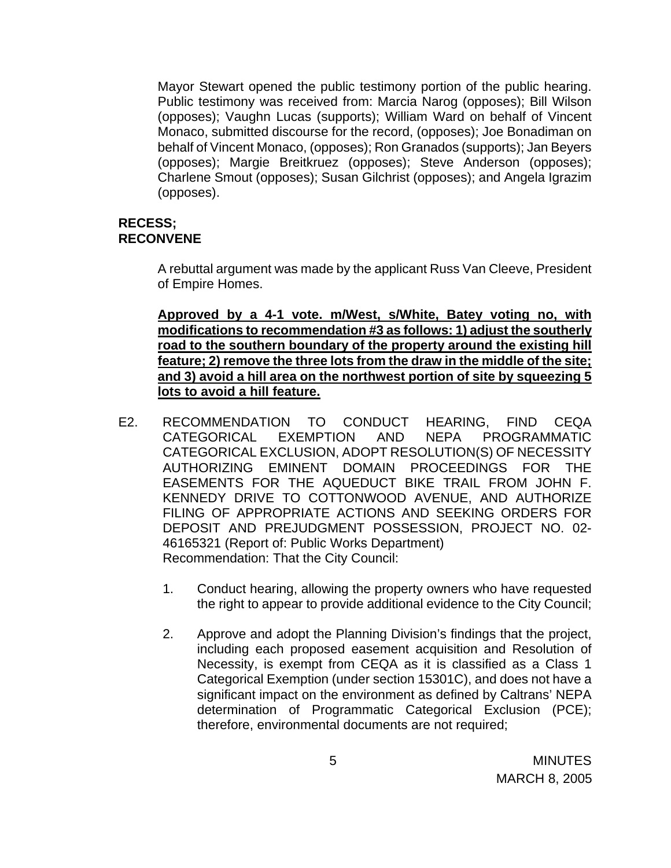Mayor Stewart opened the public testimony portion of the public hearing. Public testimony was received from: Marcia Narog (opposes); Bill Wilson (opposes); Vaughn Lucas (supports); William Ward on behalf of Vincent Monaco, submitted discourse for the record, (opposes); Joe Bonadiman on behalf of Vincent Monaco, (opposes); Ron Granados (supports); Jan Beyers (opposes); Margie Breitkruez (opposes); Steve Anderson (opposes); Charlene Smout (opposes); Susan Gilchrist (opposes); and Angela Igrazim (opposes).

### **RECESS; RECONVENE**

 A rebuttal argument was made by the applicant Russ Van Cleeve, President of Empire Homes.

 **Approved by a 4-1 vote. m/West, s/White, Batey voting no, with modifications to recommendation #3 as follows: 1) adjust the southerly road to the southern boundary of the property around the existing hill feature; 2) remove the three lots from the draw in the middle of the site; and 3) avoid a hill area on the northwest portion of site by squeezing 5 lots to avoid a hill feature.**

- E2. RECOMMENDATION TO CONDUCT HEARING, FIND CEQA CATEGORICAL EXEMPTION AND NEPA PROGRAMMATIC CATEGORICAL EXCLUSION, ADOPT RESOLUTION(S) OF NECESSITY AUTHORIZING EMINENT DOMAIN PROCEEDINGS FOR THE EASEMENTS FOR THE AQUEDUCT BIKE TRAIL FROM JOHN F. KENNEDY DRIVE TO COTTONWOOD AVENUE, AND AUTHORIZE FILING OF APPROPRIATE ACTIONS AND SEEKING ORDERS FOR DEPOSIT AND PREJUDGMENT POSSESSION, PROJECT NO. 02- 46165321 (Report of: Public Works Department) Recommendation: That the City Council:
	- 1. Conduct hearing, allowing the property owners who have requested the right to appear to provide additional evidence to the City Council;
	- 2. Approve and adopt the Planning Division's findings that the project, including each proposed easement acquisition and Resolution of Necessity, is exempt from CEQA as it is classified as a Class 1 Categorical Exemption (under section 15301C), and does not have a significant impact on the environment as defined by Caltrans' NEPA determination of Programmatic Categorical Exclusion (PCE); therefore, environmental documents are not required;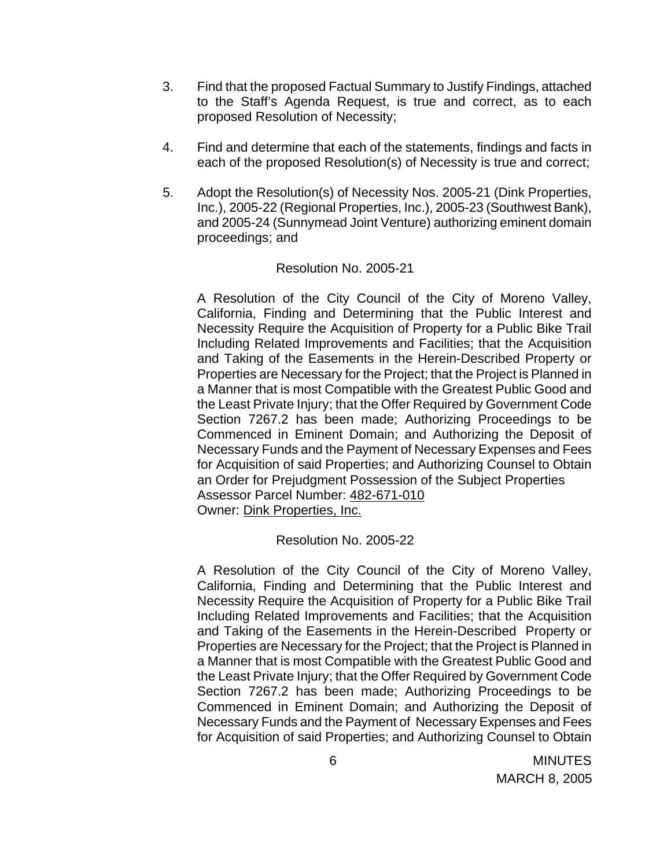- 3. Find that the proposed Factual Summary to Justify Findings, attached to the Staff's Agenda Request, is true and correct, as to each proposed Resolution of Necessity;
- 4. Find and determine that each of the statements, findings and facts in each of the proposed Resolution(s) of Necessity is true and correct;
- 5. Adopt the Resolution(s) of Necessity Nos. 2005-21 (Dink Properties, Inc.), 2005-22 (Regional Properties, Inc.), 2005-23 (Southwest Bank), and 2005-24 (Sunnymead Joint Venture) authorizing eminent domain proceedings; and

#### Resolution No. 2005-21

 A Resolution of the City Council of the City of Moreno Valley, California, Finding and Determining that the Public Interest and Necessity Require the Acquisition of Property for a Public Bike Trail Including Related Improvements and Facilities; that the Acquisition and Taking of the Easements in the Herein-Described Property or Properties are Necessary for the Project; that the Project is Planned in a Manner that is most Compatible with the Greatest Public Good and the Least Private Injury; that the Offer Required by Government Code Section 7267.2 has been made; Authorizing Proceedings to be Commenced in Eminent Domain; and Authorizing the Deposit of Necessary Funds and the Payment of Necessary Expenses and Fees for Acquisition of said Properties; and Authorizing Counsel to Obtain an Order for Prejudgment Possession of the Subject Properties Assessor Parcel Number: 482-671-010 Owner: Dink Properties, Inc.

Resolution No. 2005-22

A Resolution of the City Council of the City of Moreno Valley, California, Finding and Determining that the Public Interest and Necessity Require the Acquisition of Property for a Public Bike Trail Including Related Improvements and Facilities; that the Acquisition and Taking of the Easements in the Herein-Described Property or Properties are Necessary for the Project; that the Project is Planned in a Manner that is most Compatible with the Greatest Public Good and the Least Private Injury; that the Offer Required by Government Code Section 7267.2 has been made; Authorizing Proceedings to be Commenced in Eminent Domain; and Authorizing the Deposit of Necessary Funds and the Payment of Necessary Expenses and Fees for Acquisition of said Properties; and Authorizing Counsel to Obtain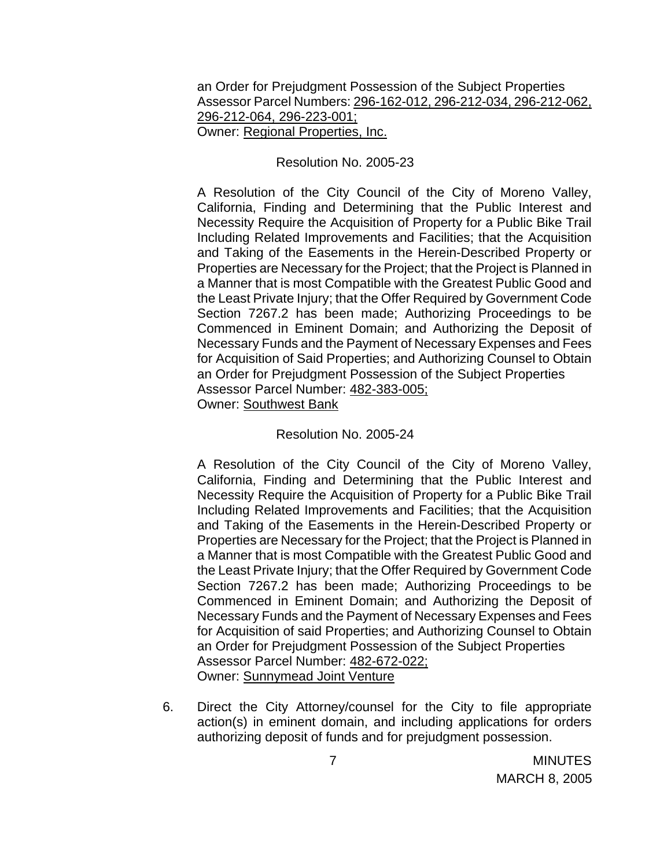an Order for Prejudgment Possession of the Subject Properties Assessor Parcel Numbers: 296-162-012, 296-212-034, 296-212-062, 296-212-064, 296-223-001; Owner: Regional Properties, Inc.

#### Resolution No. 2005-23

A Resolution of the City Council of the City of Moreno Valley, California, Finding and Determining that the Public Interest and Necessity Require the Acquisition of Property for a Public Bike Trail Including Related Improvements and Facilities; that the Acquisition and Taking of the Easements in the Herein-Described Property or Properties are Necessary for the Project; that the Project is Planned in a Manner that is most Compatible with the Greatest Public Good and the Least Private Injury; that the Offer Required by Government Code Section 7267.2 has been made; Authorizing Proceedings to be Commenced in Eminent Domain; and Authorizing the Deposit of Necessary Funds and the Payment of Necessary Expenses and Fees for Acquisition of Said Properties; and Authorizing Counsel to Obtain an Order for Prejudgment Possession of the Subject Properties Assessor Parcel Number: 482-383-005; Owner: Southwest Bank

#### Resolution No. 2005-24

A Resolution of the City Council of the City of Moreno Valley, California, Finding and Determining that the Public Interest and Necessity Require the Acquisition of Property for a Public Bike Trail Including Related Improvements and Facilities; that the Acquisition and Taking of the Easements in the Herein-Described Property or Properties are Necessary for the Project; that the Project is Planned in a Manner that is most Compatible with the Greatest Public Good and the Least Private Injury; that the Offer Required by Government Code Section 7267.2 has been made; Authorizing Proceedings to be Commenced in Eminent Domain; and Authorizing the Deposit of Necessary Funds and the Payment of Necessary Expenses and Fees for Acquisition of said Properties; and Authorizing Counsel to Obtain an Order for Prejudgment Possession of the Subject Properties Assessor Parcel Number: 482-672-022; Owner: Sunnymead Joint Venture

6. Direct the City Attorney/counsel for the City to file appropriate action(s) in eminent domain, and including applications for orders authorizing deposit of funds and for prejudgment possession.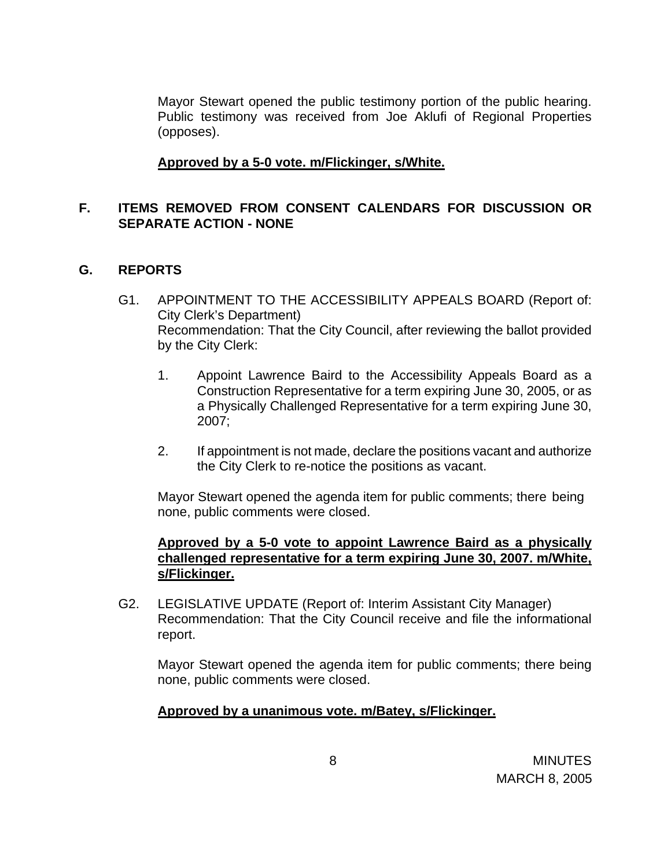Mayor Stewart opened the public testimony portion of the public hearing. Public testimony was received from Joe Aklufi of Regional Properties (opposes).

### **Approved by a 5-0 vote. m/Flickinger, s/White.**

## **F. ITEMS REMOVED FROM CONSENT CALENDARS FOR DISCUSSION OR SEPARATE ACTION - NONE**

#### **G. REPORTS**

- G1. APPOINTMENT TO THE ACCESSIBILITY APPEALS BOARD (Report of: City Clerk's Department) Recommendation: That the City Council, after reviewing the ballot provided by the City Clerk:
	- 1. Appoint Lawrence Baird to the Accessibility Appeals Board as a Construction Representative for a term expiring June 30, 2005, or as a Physically Challenged Representative for a term expiring June 30, 2007;
	- 2. If appointment is not made, declare the positions vacant and authorize the City Clerk to re-notice the positions as vacant.

Mayor Stewart opened the agenda item for public comments; there being none, public comments were closed.

#### **Approved by a 5-0 vote to appoint Lawrence Baird as a physically challenged representative for a term expiring June 30, 2007. m/White, s/Flickinger.**

G2. LEGISLATIVE UPDATE (Report of: Interim Assistant City Manager) Recommendation: That the City Council receive and file the informational report.

Mayor Stewart opened the agenda item for public comments; there being none, public comments were closed.

#### **Approved by a unanimous vote. m/Batey, s/Flickinger.**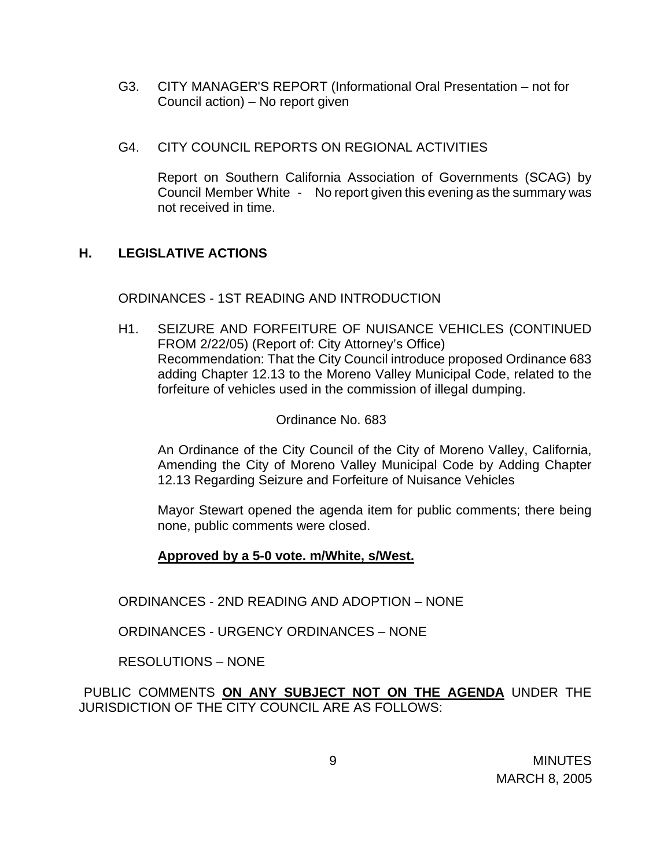- G3. CITY MANAGER'S REPORT (Informational Oral Presentation not for Council action) – No report given
- G4. CITY COUNCIL REPORTS ON REGIONAL ACTIVITIES

 Report on Southern California Association of Governments (SCAG) by Council Member White - No report given this evening as the summary was not received in time.

# **H. LEGISLATIVE ACTIONS**

### ORDINANCES - 1ST READING AND INTRODUCTION

H1. SEIZURE AND FORFEITURE OF NUISANCE VEHICLES (CONTINUED FROM 2/22/05) (Report of: City Attorney's Office) Recommendation: That the City Council introduce proposed Ordinance 683 adding Chapter 12.13 to the Moreno Valley Municipal Code, related to the forfeiture of vehicles used in the commission of illegal dumping.

### Ordinance No. 683

An Ordinance of the City Council of the City of Moreno Valley, California, Amending the City of Moreno Valley Municipal Code by Adding Chapter 12.13 Regarding Seizure and Forfeiture of Nuisance Vehicles

Mayor Stewart opened the agenda item for public comments; there being none, public comments were closed.

# **Approved by a 5-0 vote. m/White, s/West.**

ORDINANCES - 2ND READING AND ADOPTION – NONE

ORDINANCES - URGENCY ORDINANCES – NONE

RESOLUTIONS – NONE

PUBLIC COMMENTS **ON ANY SUBJECT NOT ON THE AGENDA** UNDER THE JURISDICTION OF THE CITY COUNCIL ARE AS FOLLOWS: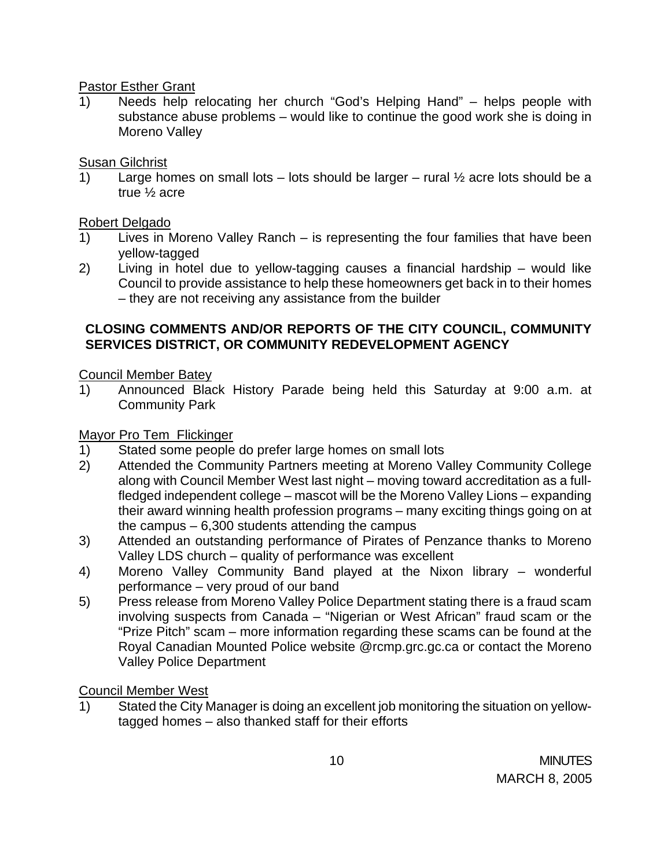#### Pastor Esther Grant

1) Needs help relocating her church "God's Helping Hand" – helps people with substance abuse problems – would like to continue the good work she is doing in Moreno Valley

# Susan Gilchrist

1) Large homes on small lots – lots should be larger – rural  $\frac{1}{2}$  acre lots should be a true ½ acre

# Robert Delgado

- 1) Lives in Moreno Valley Ranch is representing the four families that have been yellow-tagged
- 2) Living in hotel due to yellow-tagging causes a financial hardship would like Council to provide assistance to help these homeowners get back in to their homes – they are not receiving any assistance from the builder

## **CLOSING COMMENTS AND/OR REPORTS OF THE CITY COUNCIL, COMMUNITY SERVICES DISTRICT, OR COMMUNITY REDEVELOPMENT AGENCY**

# Council Member Batey

1) Announced Black History Parade being held this Saturday at 9:00 a.m. at Community Park

# Mayor Pro Tem Flickinger

- 1) Stated some people do prefer large homes on small lots
- 2) Attended the Community Partners meeting at Moreno Valley Community College along with Council Member West last night – moving toward accreditation as a fullfledged independent college – mascot will be the Moreno Valley Lions – expanding their award winning health profession programs – many exciting things going on at the campus – 6,300 students attending the campus
- 3) Attended an outstanding performance of Pirates of Penzance thanks to Moreno Valley LDS church – quality of performance was excellent
- 4) Moreno Valley Community Band played at the Nixon library wonderful performance – very proud of our band
- 5) Press release from Moreno Valley Police Department stating there is a fraud scam involving suspects from Canada – "Nigerian or West African" fraud scam or the "Prize Pitch" scam – more information regarding these scams can be found at the Royal Canadian Mounted Police website @rcmp.grc.gc.ca or contact the Moreno Valley Police Department

# Council Member West

1) Stated the City Manager is doing an excellent job monitoring the situation on yellowtagged homes – also thanked staff for their efforts